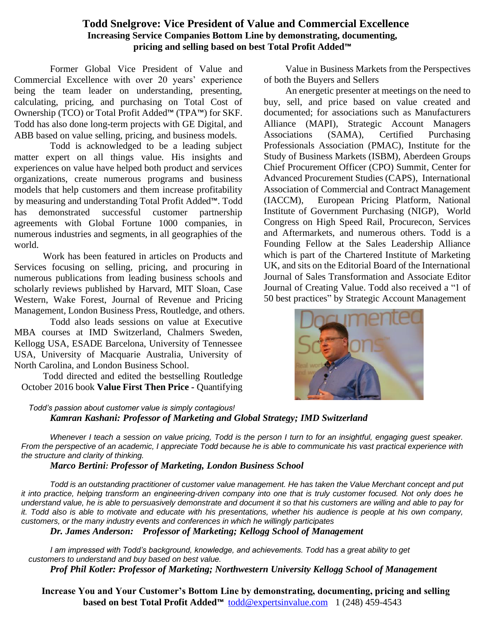# **Todd Snelgrove: Vice President of Value and Commercial Excellence Increasing Service Companies Bottom Line by demonstrating, documenting, pricing and selling based on best Total Profit Added™**

Former Global Vice President of Value and Commercial Excellence with over 20 years' experience being the team leader on understanding, presenting, calculating, pricing, and purchasing on Total Cost of Ownership (TCO) or Total Profit Added™ (TPA™) for SKF. Todd has also done long-term projects with GE Digital, and ABB based on value selling, pricing, and business models.

Todd is acknowledged to be a leading subject matter expert on all things value. His insights and experiences on value have helped both product and services organizations, create numerous programs and business models that help customers and them increase profitability by measuring and understanding Total Profit Added™. Todd has demonstrated successful customer partnership agreements with Global Fortune 1000 companies, in numerous industries and segments, in all geographies of the world.

Work has been featured in articles on Products and Services focusing on selling, pricing, and procuring in numerous publications from leading business schools and scholarly reviews published by Harvard, MIT Sloan, Case Western, Wake Forest, Journal of Revenue and Pricing Management, London Business Press, Routledge, and others.

Todd also leads sessions on value at Executive MBA courses at IMD Switzerland, Chalmers Sweden, Kellogg USA, ESADE Barcelona, University of Tennessee USA, University of Macquarie Australia, University of North Carolina, and London Business School.

Todd directed and edited the bestselling Routledge October 2016 book **Value First Then Price -** Quantifying

Value in Business Markets from the Perspectives of both the Buyers and Sellers

An energetic presenter at meetings on the need to buy, sell, and price based on value created and documented; for associations such as Manufacturers Alliance (MAPI), Strategic Account Managers Associations (SAMA), Certified Purchasing Professionals Association (PMAC), Institute for the Study of Business Markets (ISBM), Aberdeen Groups Chief Procurement Officer (CPO) Summit, Center for Advanced Procurement Studies (CAPS), International Association of Commercial and Contract Management (IACCM), European Pricing Platform, National Institute of Government Purchasing (NIGP), World Congress on High Speed Rail, Procurecon, Services and Aftermarkets, and numerous others. Todd is a Founding Fellow at the Sales Leadership Alliance which is part of the Chartered Institute of Marketing UK, and sits on the Editorial Board of the International Journal of Sales Transformation and Associate Editor Journal of Creating Value. Todd also received a "1 of 50 best practices" by Strategic Account Management



*Todd's passion about customer value is simply contagious! Kamran Kashani: Professor of Marketing and Global Strategy; IMD Switzerland*

*Whenever I teach a session on value pricing, Todd is the person I turn to for an insightful, engaging guest speaker. From the perspective of an academic, I appreciate Todd because he is able to communicate his vast practical experience with the structure and clarity of thinking.* 

*Marco Bertini: Professor of Marketing, London Business School*

*Todd is an outstanding practitioner of customer value management. He has taken the Value Merchant concept and put it into practice, helping transform an engineering-driven company into one that is truly customer focused. Not only does he understand value, he is able to persuasively demonstrate and document it so that his customers are willing and able to pay for it. Todd also is able to motivate and educate with his presentations, whether his audience is people at his own company, customers, or the many industry events and conferences in which he willingly participates*

*Dr. James Anderson: Professor of Marketing; Kellogg School of Management*

*I am impressed with Todd's background, knowledge, and achievements. Todd has a great ability to get customers to understand and buy based on best value.* 

*Prof Phil Kotler: Professor of Marketing; Northwestern University Kellogg School of Management*

 **Increase You and Your Customer's Bottom Line by demonstrating, documenting, pricing and selling based on best Total Profit Added™ todd@expertsinvalue.com** 1 (248) 459-4543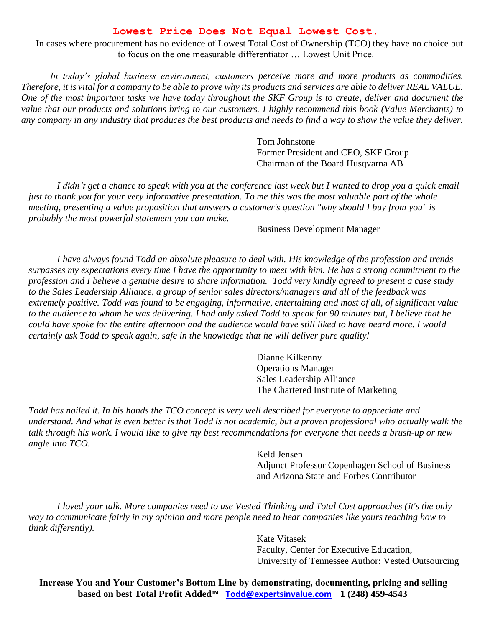### **Lowest Price Does Not Equal Lowest Cost.**

In cases where procurement has no evidence of Lowest Total Cost of Ownership (TCO) they have no choice but to focus on the one measurable differentiator … Lowest Unit Price.

*In today's global business environment, customers perceive more and more products as commodities. Therefore, it is vital for a company to be able to prove why its products and services are able to deliver REAL VALUE. One of the most important tasks we have today throughout the SKF Group is to create, deliver and document the value that our products and solutions bring to our customers. I highly recommend this book (Value Merchants) to any company in any industry that produces the best products and needs to find a way to show the value they deliver.*

> Tom Johnstone Former President and CEO, SKF Group Chairman of the Board Husqvarna AB

*I didn't get a chance to speak with you at the conference last week but I wanted to drop you a quick email just to thank you for your very informative presentation. To me this was the most valuable part of the whole meeting, presenting a value proposition that answers a customer's question "why should I buy from you" is probably the most powerful statement you can make.*

Business Development Manager

*I have always found Todd an absolute pleasure to deal with. His knowledge of the profession and trends surpasses my expectations every time I have the opportunity to meet with him. He has a strong commitment to the profession and I believe a genuine desire to share information. Todd very kindly agreed to present a case study to the Sales Leadership Alliance, a group of senior sales directors/managers and all of the feedback was extremely positive. Todd was found to be engaging, informative, entertaining and most of all, of significant value to the audience to whom he was delivering. I had only asked Todd to speak for 90 minutes but, I believe that he could have spoke for the entire afternoon and the audience would have still liked to have heard more. I would certainly ask Todd to speak again, safe in the knowledge that he will deliver pure quality!*

> Dianne Kilkenny Operations Manager Sales Leadership Alliance The Chartered Institute of Marketing

*Todd has nailed it. In his hands the TCO concept is very well described for everyone to appreciate and understand. And what is even better is that Todd is not academic, but a proven professional who actually walk the talk through his work. I would like to give my best recommendations for everyone that needs a brush-up or new angle into TCO.*

> Keld Jensen Adjunct Professor Copenhagen School of Business and Arizona State and Forbes Contributor

*I loved your talk. More companies need to use Vested Thinking and Total Cost approaches (it's the only way to communicate fairly in my opinion and more people need to hear companies like yours teaching how to think differently).*

> Kate Vitasek Faculty, Center for Executive Education, University of Tennessee Author: Vested Outsourcing

**Increase You and Your Customer's Bottom Line by demonstrating, documenting, pricing and selling based on best Total Profit Added™ [Todd@expertsinvalue.com](mailto:Todd@expertsinvalue.com) 1 (248) 459-4543**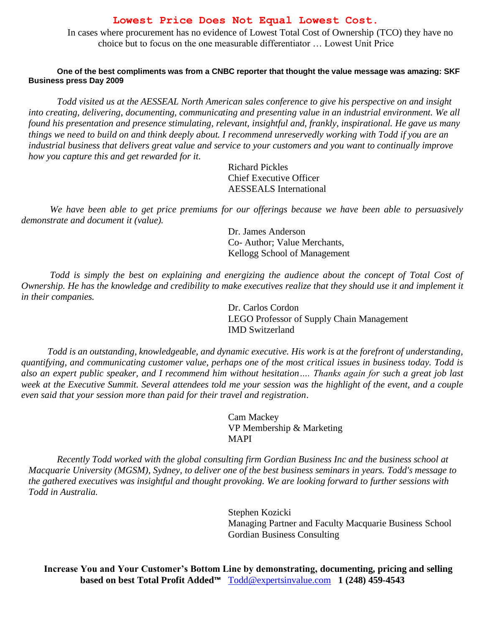### **Lowest Price Does Not Equal Lowest Cost.**

In cases where procurement has no evidence of Lowest Total Cost of Ownership (TCO) they have no choice but to focus on the one measurable differentiator … Lowest Unit Price

#### **One of the best compliments was from a CNBC reporter that thought the value message was amazing: SKF Business press Day 2009**

*Todd visited us at the AESSEAL North American sales conference to give his perspective on and insight into creating, delivering, documenting, communicating and presenting value in an industrial environment. We all found his presentation and presence stimulating, relevant, insightful and, frankly, inspirational. He gave us many things we need to build on and think deeply about. I recommend unreservedly working with Todd if you are an industrial business that delivers great value and service to your customers and you want to continually improve how you capture this and get rewarded for it.*

> Richard Pickles Chief Executive Officer AESSEALS International

*We have been able to get price premiums for our offerings because we have been able to persuasively demonstrate and document it (value).*

> Dr. James Anderson Co- Author; Value Merchants, Kellogg School of Management

*Todd is simply the best on explaining and energizing the audience about the concept of Total Cost of Ownership. He has the knowledge and credibility to make executives realize that they should use it and implement it in their companies.*

> Dr. Carlos Cordon LEGO Professor of Supply Chain Management IMD Switzerland

 *Todd is an outstanding, knowledgeable, and dynamic executive. His work is at the forefront of understanding, quantifying, and communicating customer value, perhaps one of the most critical issues in business today. Todd is also an expert public speaker, and I recommend him without hesitation…. Thanks again for such a great job last week at the Executive Summit. Several attendees told me your session was the highlight of the event, and a couple even said that your session more than paid for their travel and registration*.

> Cam Mackey VP Membership & Marketing MAPI

*Recently Todd worked with the global consulting firm Gordian Business Inc and the business school at Macquarie University (MGSM), Sydney, to deliver one of the best business seminars in years. Todd's message to the gathered executives was insightful and thought provoking. We are looking forward to further sessions with Todd in Australia.*

> Stephen Kozicki Managing Partner and Faculty Macquarie Business School Gordian Business Consulting

 **Increase You and Your Customer's Bottom Line by demonstrating, documenting, pricing and selling based on best Total Profit Added™** [Todd@expertsinvalue.com](mailto:Todd@expertsinvalue.com) **1 (248) 459-4543**